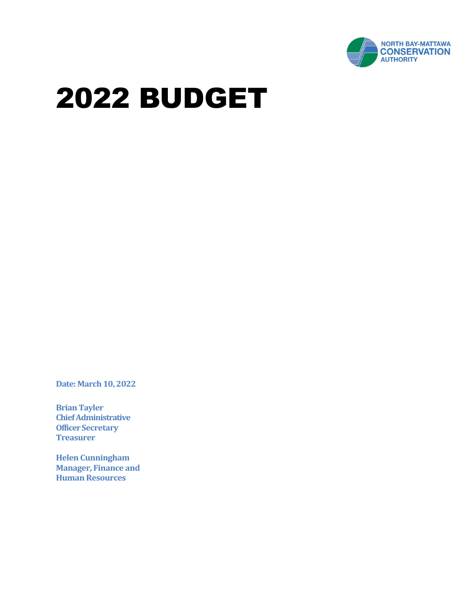

**Date: March 10, 2022** 

**Brian Tayler Chief Administrative Officer Secretary Treasurer**

**Helen Cunningham Manager, Finance and Human Resources**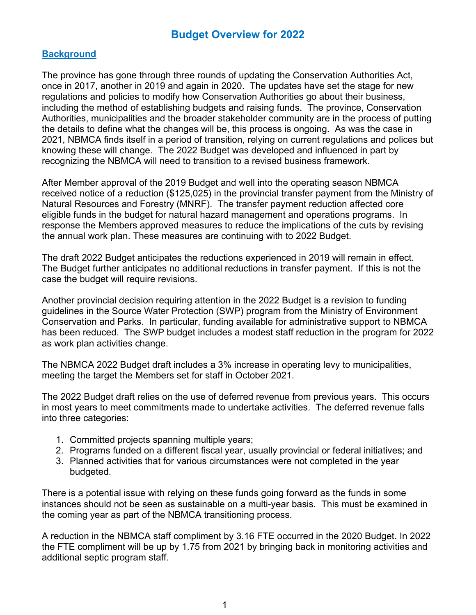## **Background**

The province has gone through three rounds of updating the Conservation Authorities Act, once in 2017, another in 2019 and again in 2020. The updates have set the stage for new regulations and policies to modify how Conservation Authorities go about their business, including the method of establishing budgets and raising funds. The province, Conservation Authorities, municipalities and the broader stakeholder community are in the process of putting the details to define what the changes will be, this process is ongoing. As was the case in 2021, NBMCA finds itself in a period of transition, relying on current regulations and polices but knowing these will change. The 2022 Budget was developed and influenced in part by recognizing the NBMCA will need to transition to a revised business framework.

After Member approval of the 2019 Budget and well into the operating season NBMCA received notice of a reduction (\$125,025) in the provincial transfer payment from the Ministry of Natural Resources and Forestry (MNRF). The transfer payment reduction affected core eligible funds in the budget for natural hazard management and operations programs. In response the Members approved measures to reduce the implications of the cuts by revising the annual work plan. These measures are continuing with to 2022 Budget.

The draft 2022 Budget anticipates the reductions experienced in 2019 will remain in effect. The Budget further anticipates no additional reductions in transfer payment. If this is not the case the budget will require revisions.

Another provincial decision requiring attention in the 2022 Budget is a revision to funding guidelines in the Source Water Protection (SWP) program from the Ministry of Environment Conservation and Parks. In particular, funding available for administrative support to NBMCA has been reduced. The SWP budget includes a modest staff reduction in the program for 2022 as work plan activities change.

The NBMCA 2022 Budget draft includes a 3% increase in operating levy to municipalities, meeting the target the Members set for staff in October 2021.

The 2022 Budget draft relies on the use of deferred revenue from previous years. This occurs in most years to meet commitments made to undertake activities. The deferred revenue falls into three categories:

- 1. Committed projects spanning multiple years;
- 2. Programs funded on a different fiscal year, usually provincial or federal initiatives; and
- 3. Planned activities that for various circumstances were not completed in the year budgeted.

There is a potential issue with relying on these funds going forward as the funds in some instances should not be seen as sustainable on a multi-year basis. This must be examined in the coming year as part of the NBMCA transitioning process.

A reduction in the NBMCA staff compliment by 3.16 FTE occurred in the 2020 Budget. In 2022 the FTE compliment will be up by 1.75 from 2021 by bringing back in monitoring activities and additional septic program staff.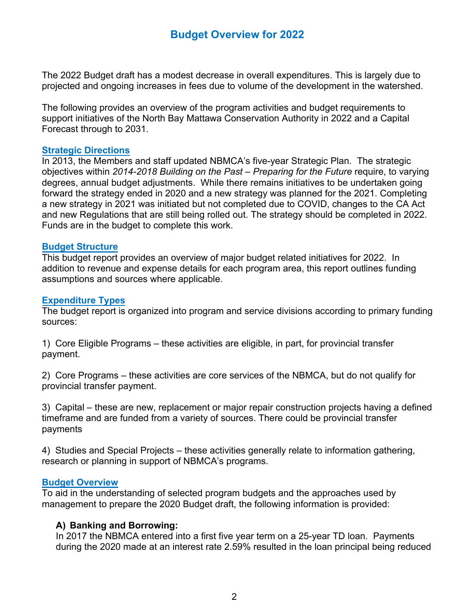The 2022 Budget draft has a modest decrease in overall expenditures. This is largely due to projected and ongoing increases in fees due to volume of the development in the watershed.

The following provides an overview of the program activities and budget requirements to support initiatives of the North Bay Mattawa Conservation Authority in 2022 and a Capital Forecast through to 2031.

#### **Strategic Directions**

In 2013, the Members and staff updated NBMCA's five-year Strategic Plan. The strategic objectives within *2014-2018 Building on the Past – Preparing for the Future* require, to varying degrees, annual budget adjustments. While there remains initiatives to be undertaken going forward the strategy ended in 2020 and a new strategy was planned for the 2021. Completing a new strategy in 2021 was initiated but not completed due to COVID, changes to the CA Act and new Regulations that are still being rolled out. The strategy should be completed in 2022. Funds are in the budget to complete this work.

#### **Budget Structure**

This budget report provides an overview of major budget related initiatives for 2022. In addition to revenue and expense details for each program area, this report outlines funding assumptions and sources where applicable.

#### **Expenditure Types**

The budget report is organized into program and service divisions according to primary funding sources:

1) Core Eligible Programs – these activities are eligible, in part, for provincial transfer payment.

2) Core Programs – these activities are core services of the NBMCA, but do not qualify for provincial transfer payment.

3) Capital – these are new, replacement or major repair construction projects having a defined timeframe and are funded from a variety of sources. There could be provincial transfer payments

4) Studies and Special Projects – these activities generally relate to information gathering, research or planning in support of NBMCA's programs.

#### **Budget Overview**

To aid in the understanding of selected program budgets and the approaches used by management to prepare the 2020 Budget draft, the following information is provided:

#### **A) Banking and Borrowing:**

In 2017 the NBMCA entered into a first five year term on a 25-year TD loan. Payments during the 2020 made at an interest rate 2.59% resulted in the loan principal being reduced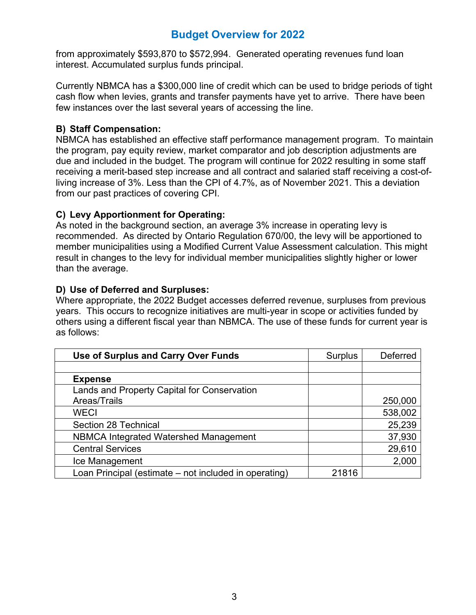from approximately \$593,870 to \$572,994. Generated operating revenues fund loan interest. Accumulated surplus funds principal.

Currently NBMCA has a \$300,000 line of credit which can be used to bridge periods of tight cash flow when levies, grants and transfer payments have yet to arrive. There have been few instances over the last several years of accessing the line.

#### **B) Staff Compensation:**

NBMCA has established an effective staff performance management program. To maintain the program, pay equity review, market comparator and job description adjustments are due and included in the budget. The program will continue for 2022 resulting in some staff receiving a merit-based step increase and all contract and salaried staff receiving a cost-ofliving increase of 3%. Less than the CPI of 4.7%, as of November 2021. This a deviation from our past practices of covering CPI.

## **C) Levy Apportionment for Operating:**

As noted in the background section, an average 3% increase in operating levy is recommended. As directed by Ontario Regulation 670/00, the levy will be apportioned to member municipalities using a Modified Current Value Assessment calculation. This might result in changes to the levy for individual member municipalities slightly higher or lower than the average.

## **D) Use of Deferred and Surpluses:**

Where appropriate, the 2022 Budget accesses deferred revenue, surpluses from previous years. This occurs to recognize initiatives are multi-year in scope or activities funded by others using a different fiscal year than NBMCA. The use of these funds for current year is as follows:

| Use of Surplus and Carry Over Funds                   | <b>Surplus</b> | Deferred |
|-------------------------------------------------------|----------------|----------|
|                                                       |                |          |
| <b>Expense</b>                                        |                |          |
| Lands and Property Capital for Conservation           |                |          |
| Areas/Trails                                          |                | 250,000  |
| <b>WECI</b>                                           |                | 538,002  |
| Section 28 Technical                                  |                | 25,239   |
| <b>NBMCA Integrated Watershed Management</b>          |                | 37,930   |
| <b>Central Services</b>                               |                | 29,610   |
| Ice Management                                        |                | 2,000    |
| Loan Principal (estimate – not included in operating) | 21816          |          |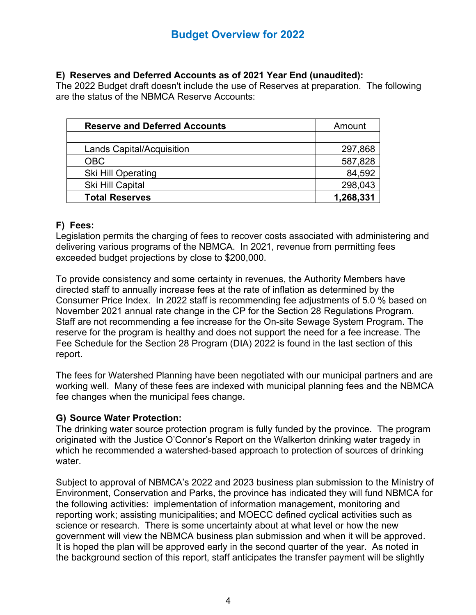### **E) Reserves and Deferred Accounts as of 2021 Year End (unaudited):**

The 2022 Budget draft doesn't include the use of Reserves at preparation. The following are the status of the NBMCA Reserve Accounts:

| <b>Reserve and Deferred Accounts</b> | Amount    |
|--------------------------------------|-----------|
|                                      |           |
| <b>Lands Capital/Acquisition</b>     | 297,868   |
| <b>OBC</b>                           | 587,828   |
| <b>Ski Hill Operating</b>            | 84,592    |
| Ski Hill Capital                     | 298,043   |
| <b>Total Reserves</b>                | 1,268,331 |
|                                      |           |

## **F) Fees:**

Legislation permits the charging of fees to recover costs associated with administering and delivering various programs of the NBMCA. In 2021, revenue from permitting fees exceeded budget projections by close to \$200,000.

To provide consistency and some certainty in revenues, the Authority Members have directed staff to annually increase fees at the rate of inflation as determined by the Consumer Price Index. In 2022 staff is recommending fee adjustments of 5.0 % based on November 2021 annual rate change in the CP for the Section 28 Regulations Program. Staff are not recommending a fee increase for the On-site Sewage System Program. The reserve for the program is healthy and does not support the need for a fee increase. The Fee Schedule for the Section 28 Program (DIA) 2022 is found in the last section of this report.

The fees for Watershed Planning have been negotiated with our municipal partners and are working well. Many of these fees are indexed with municipal planning fees and the NBMCA fee changes when the municipal fees change.

## **G) Source Water Protection:**

The drinking water source protection program is fully funded by the province. The program originated with the Justice O'Connor's Report on the Walkerton drinking water tragedy in which he recommended a watershed-based approach to protection of sources of drinking water.

Subject to approval of NBMCA's 2022 and 2023 business plan submission to the Ministry of Environment, Conservation and Parks, the province has indicated they will fund NBMCA for the following activities: implementation of information management, monitoring and reporting work; assisting municipalities; and MOECC defined cyclical activities such as science or research. There is some uncertainty about at what level or how the new government will view the NBMCA business plan submission and when it will be approved. It is hoped the plan will be approved early in the second quarter of the year. As noted in the background section of this report, staff anticipates the transfer payment will be slightly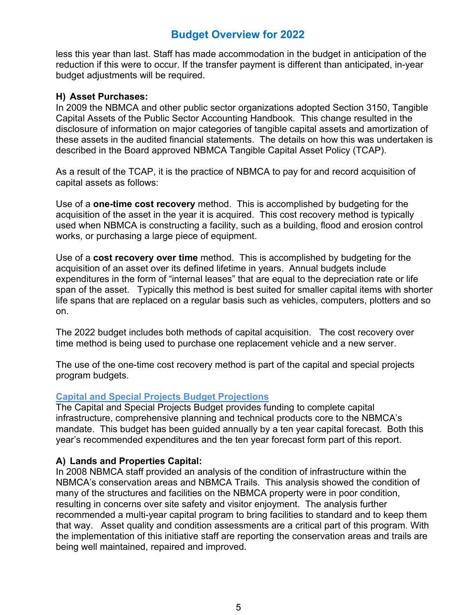less this year than last. Staff has made accommodation in the budget in anticipation of the reduction if this were to occur. If the transfer payment is different than anticipated, in-year budget adjustments will be required.

#### **H) Asset Purchases:**

In 2009 the NBMCA and other public sector organizations adopted Section 3150, Tangible Capital Assets of the Public Sector Accounting Handbook. This change resulted in the disclosure of information on major categories of tangible capital assets and amortization of these assets in the audited financial statements. The details on how this was undertaken is described in the Board approved NBMCA Tangible Capital Asset Policy (TCAP).

As a result of the TCAP, it is the practice of NBMCA to pay for and record acquisition of capital assets as follows:

Use of a **one-time cost recovery** method. This is accomplished by budgeting for the acquisition of the asset in the year it is acquired. This cost recovery method is typically used when NBMCA is constructing a facility, such as a building, flood and erosion control works, or purchasing a large piece of equipment.

Use of a **cost recovery over time** method. This is accomplished by budgeting for the acquisition of an asset over its defined lifetime in years. Annual budgets include expenditures in the form of "internal leases" that are equal to the depreciation rate or life span of the asset. Typically this method is best suited for smaller capital items with shorter life spans that are replaced on a regular basis such as vehicles, computers, plotters and so on.

The 2022 budget includes both methods of capital acquisition. The cost recovery over time method is being used to purchase one replacement vehicle and a new server.

The use of the one-time cost recovery method is part of the capital and special projects program budgets.

#### **Capital and Special Projects Budget Projections**

The Capital and Special Projects Budget provides funding to complete capital infrastructure, comprehensive planning and technical products core to the NBMCA's mandate. This budget has been guided annually by a ten year capital forecast. Both this year's recommended expenditures and the ten year forecast form part of this report.

#### **A) Lands and Properties Capital:**

In 2008 NBMCA staff provided an analysis of the condition of infrastructure within the NBMCA's conservation areas and NBMCA Trails. This analysis showed the condition of many of the structures and facilities on the NBMCA property were in poor condition, resulting in concerns over site safety and visitor enjoyment. The analysis further recommended a multi-year capital program to bring facilities to standard and to keep them that way. Asset quality and condition assessments are a critical part of this program. With the implementation of this initiative staff are reporting the conservation areas and trails are being well maintained, repaired and improved.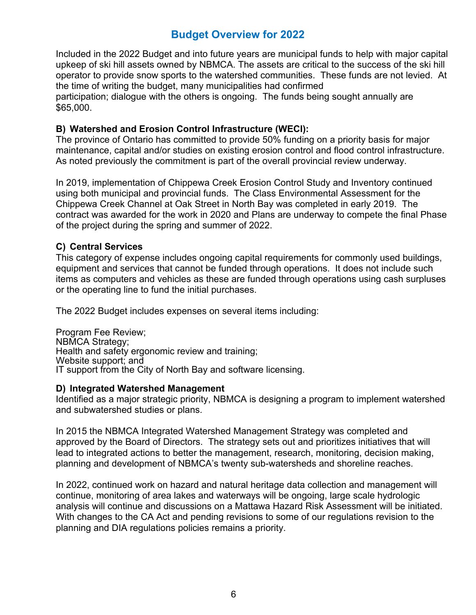Included in the 2022 Budget and into future years are municipal funds to help with major capital upkeep of ski hill assets owned by NBMCA. The assets are critical to the success of the ski hill operator to provide snow sports to the watershed communities. These funds are not levied. At the time of writing the budget, many municipalities had confirmed

participation; dialogue with the others is ongoing. The funds being sought annually are \$65,000.

#### **B) Watershed and Erosion Control Infrastructure (WECI):**

The province of Ontario has committed to provide 50% funding on a priority basis for major maintenance, capital and/or studies on existing erosion control and flood control infrastructure. As noted previously the commitment is part of the overall provincial review underway.

In 2019, implementation of Chippewa Creek Erosion Control Study and Inventory continued using both municipal and provincial funds. The Class Environmental Assessment for the Chippewa Creek Channel at Oak Street in North Bay was completed in early 2019. The contract was awarded for the work in 2020 and Plans are underway to compete the final Phase of the project during the spring and summer of 2022.

## **C) Central Services**

This category of expense includes ongoing capital requirements for commonly used buildings, equipment and services that cannot be funded through operations. It does not include such items as computers and vehicles as these are funded through operations using cash surpluses or the operating line to fund the initial purchases.

The 2022 Budget includes expenses on several items including:

Program Fee Review; NBMCA Strategy; Health and safety ergonomic review and training; Website support; and IT support from the City of North Bay and software licensing.

#### **D) Integrated Watershed Management**

Identified as a major strategic priority, NBMCA is designing a program to implement watershed and subwatershed studies or plans.

In 2015 the NBMCA Integrated Watershed Management Strategy was completed and approved by the Board of Directors. The strategy sets out and prioritizes initiatives that will lead to integrated actions to better the management, research, monitoring, decision making, planning and development of NBMCA's twenty sub-watersheds and shoreline reaches.

In 2022, continued work on hazard and natural heritage data collection and management will continue, monitoring of area lakes and waterways will be ongoing, large scale hydrologic analysis will continue and discussions on a Mattawa Hazard Risk Assessment will be initiated. With changes to the CA Act and pending revisions to some of our regulations revision to the planning and DIA regulations policies remains a priority.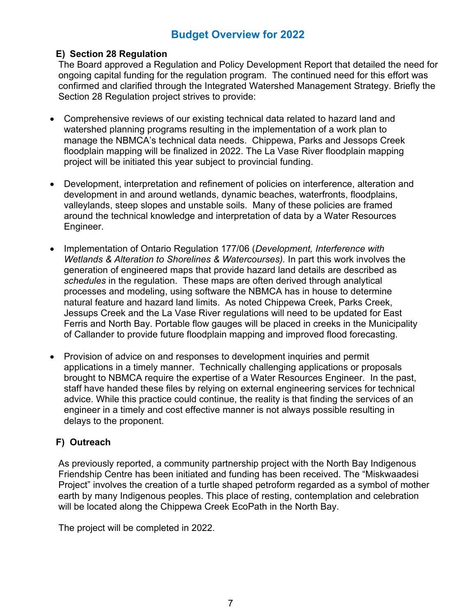### **E) Section 28 Regulation**

The Board approved a Regulation and Policy Development Report that detailed the need for ongoing capital funding for the regulation program. The continued need for this effort was confirmed and clarified through the Integrated Watershed Management Strategy. Briefly the Section 28 Regulation project strives to provide:

- Comprehensive reviews of our existing technical data related to hazard land and watershed planning programs resulting in the implementation of a work plan to manage the NBMCA's technical data needs. Chippewa, Parks and Jessops Creek floodplain mapping will be finalized in 2022. The La Vase River floodplain mapping project will be initiated this year subject to provincial funding.
- Development, interpretation and refinement of policies on interference, alteration and development in and around wetlands, dynamic beaches, waterfronts, floodplains, valleylands, steep slopes and unstable soils. Many of these policies are framed around the technical knowledge and interpretation of data by a Water Resources Engineer.
- Implementation of Ontario Regulation 177/06 (*Development, Interference with Wetlands & Alteration to Shorelines & Watercourses).* In part this work involves the generation of engineered maps that provide hazard land details are described as *schedules* in the regulation. These maps are often derived through analytical processes and modeling, using software the NBMCA has in house to determine natural feature and hazard land limits. As noted Chippewa Creek, Parks Creek, Jessups Creek and the La Vase River regulations will need to be updated for East Ferris and North Bay. Portable flow gauges will be placed in creeks in the Municipality of Callander to provide future floodplain mapping and improved flood forecasting.
- Provision of advice on and responses to development inquiries and permit applications in a timely manner. Technically challenging applications or proposals brought to NBMCA require the expertise of a Water Resources Engineer. In the past, staff have handed these files by relying on external engineering services for technical advice. While this practice could continue, the reality is that finding the services of an engineer in a timely and cost effective manner is not always possible resulting in delays to the proponent.

## **F) Outreach**

As previously reported, a community partnership project with the North Bay Indigenous Friendship Centre has been initiated and funding has been received. The "Miskwaadesi Project" involves the creation of a turtle shaped petroform regarded as a symbol of mother earth by many Indigenous peoples. This place of resting, contemplation and celebration will be located along the Chippewa Creek EcoPath in the North Bay.

The project will be completed in 2022.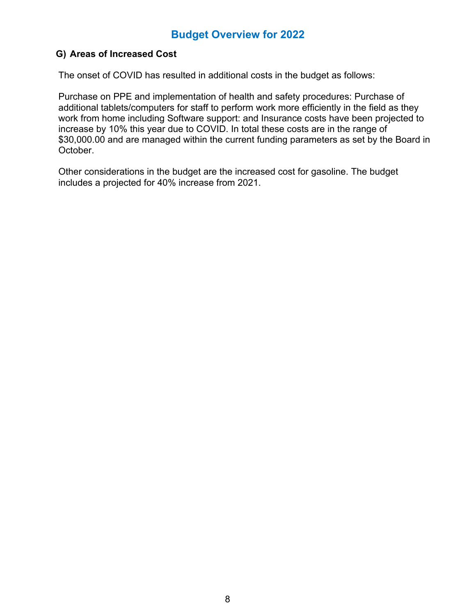## **G) Areas of Increased Cost**

The onset of COVID has resulted in additional costs in the budget as follows:

Purchase on PPE and implementation of health and safety procedures: Purchase of additional tablets/computers for staff to perform work more efficiently in the field as they work from home including Software support: and Insurance costs have been projected to increase by 10% this year due to COVID. In total these costs are in the range of \$30,000.00 and are managed within the current funding parameters as set by the Board in October.

Other considerations in the budget are the increased cost for gasoline. The budget includes a projected for 40% increase from 2021.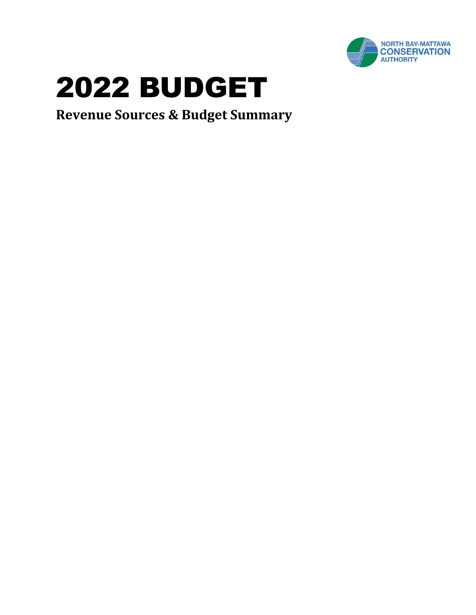

**Revenue Sources & Budget Summary**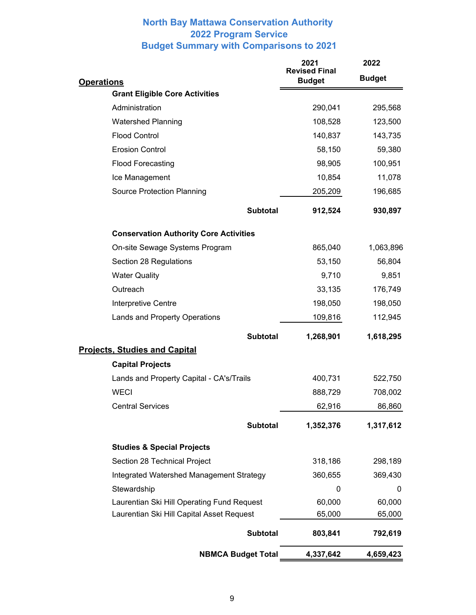## **North Bay Mattawa Conservation Authority 2022 Program Service Budget Summary with Comparisons to 2021**

|                                               | 2021<br><b>Revised Final</b> | 2022          |  |  |
|-----------------------------------------------|------------------------------|---------------|--|--|
| <b>Operations</b>                             | <b>Budget</b>                | <b>Budget</b> |  |  |
| <b>Grant Eligible Core Activities</b>         |                              |               |  |  |
| Administration                                | 290,041                      | 295,568       |  |  |
| <b>Watershed Planning</b>                     | 108,528                      | 123,500       |  |  |
| <b>Flood Control</b>                          | 140,837                      | 143,735       |  |  |
| <b>Erosion Control</b>                        | 58,150                       | 59,380        |  |  |
| <b>Flood Forecasting</b>                      | 98,905                       | 100,951       |  |  |
| Ice Management                                | 10,854                       | 11,078        |  |  |
| <b>Source Protection Planning</b>             | 205,209                      | 196,685       |  |  |
| <b>Subtotal</b>                               | 912,524                      | 930,897       |  |  |
| <b>Conservation Authority Core Activities</b> |                              |               |  |  |
| On-site Sewage Systems Program                | 865,040                      | 1,063,896     |  |  |
| Section 28 Regulations                        | 53,150                       | 56,804        |  |  |
| <b>Water Quality</b>                          | 9,710                        | 9,851         |  |  |
| Outreach                                      | 33,135                       | 176,749       |  |  |
| Interpretive Centre                           | 198,050                      | 198,050       |  |  |
| Lands and Property Operations                 | 109,816                      | 112,945       |  |  |
| <b>Subtotal</b>                               | 1,268,901                    | 1,618,295     |  |  |
| <b>Projects, Studies and Capital</b>          |                              |               |  |  |
| <b>Capital Projects</b>                       |                              |               |  |  |
| Lands and Property Capital - CA's/Trails      | 400,731                      | 522,750       |  |  |
| <b>WECI</b>                                   | 888,729                      | 708,002       |  |  |
| <b>Central Services</b>                       | 62,916                       | 86,860        |  |  |
| <b>Subtotal</b>                               | 1,352,376                    | 1,317,612     |  |  |
| <b>Studies &amp; Special Projects</b>         |                              |               |  |  |
| Section 28 Technical Project                  | 318,186                      | 298,189       |  |  |
| Integrated Watershed Management Strategy      | 360,655                      | 369,430       |  |  |
| Stewardship                                   | 0                            | 0             |  |  |
| Laurentian Ski Hill Operating Fund Request    | 60,000                       | 60,000        |  |  |
| Laurentian Ski Hill Capital Asset Request     | 65,000                       | 65,000        |  |  |
| <b>Subtotal</b>                               | 803,841                      | 792,619       |  |  |
| <b>NBMCA Budget Total</b>                     | 4,337,642                    | 4,659,423     |  |  |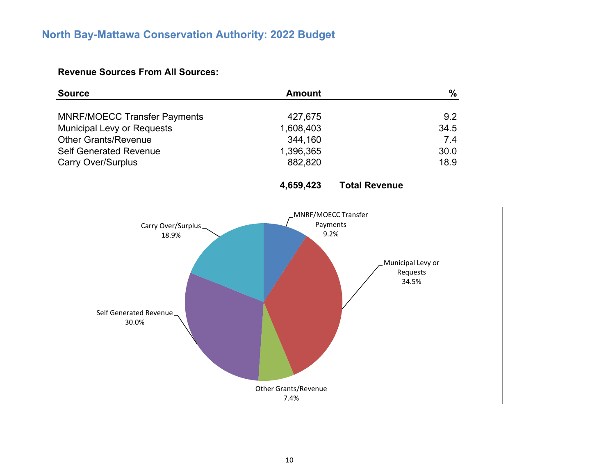# **North Bay-Mattawa Conservation Authority: 2022 Budget**

## **Revenue Sources From All Sources:**

| <b>Source</b>                       | <b>Amount</b> | $\%$ |
|-------------------------------------|---------------|------|
|                                     |               |      |
| <b>MNRF/MOECC Transfer Payments</b> | 427,675       | 9.2  |
| <b>Municipal Levy or Requests</b>   | 1,608,403     | 34.5 |
| <b>Other Grants/Revenue</b>         | 344,160       | 7.4  |
| <b>Self Generated Revenue</b>       | 1,396,365     | 30.0 |
| <b>Carry Over/Surplus</b>           | 882,820       | 18.9 |



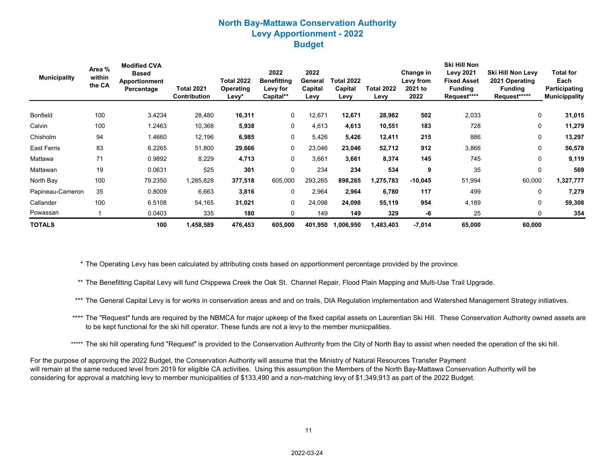#### **North Bay-Mattawa Conservation Authority Levy Apportionment - 2022 Budget**

| <b>Municipality</b> | Area %<br>within<br>the CA | <b>Modified CVA</b><br><b>Based</b><br><b>Apportionment</b><br>Percentage | <b>Total 2021</b><br><b>Contribution</b> | <b>Total 2022</b><br><b>Operating</b><br>Levv* | 2022<br><b>Benefitting</b><br>Levy for<br>Capital** | 2022<br>General<br>Capital<br>Levv | Total 2022<br>Capital<br>Levy | <b>Total 2022</b><br>Levy | Change in<br>Levy from<br>2021 to<br>2022 | Ski Hill Non<br><b>Levy 2021</b><br><b>Fixed Asset</b><br><b>Funding</b><br>Request**** | Ski Hill Non Levy<br>2021 Operating<br><b>Funding</b><br>Request***** | <b>Total for</b><br>Each<br>Participating<br><b>Municippality</b> |
|---------------------|----------------------------|---------------------------------------------------------------------------|------------------------------------------|------------------------------------------------|-----------------------------------------------------|------------------------------------|-------------------------------|---------------------------|-------------------------------------------|-----------------------------------------------------------------------------------------|-----------------------------------------------------------------------|-------------------------------------------------------------------|
| Bonfield            | 100                        | 3.4234                                                                    | 28,480                                   | 16,311                                         | 0                                                   | 12,671                             | 12,671                        | 28,982                    | 502                                       | 2,033                                                                                   | 0                                                                     | 31,015                                                            |
| Calvin              | 100                        | 1.2463                                                                    | 10,368                                   | 5,938                                          | $\mathbf 0$                                         | 4,613                              | 4,613                         | 10,551                    | 183                                       | 728                                                                                     | $\Omega$                                                              | 11,279                                                            |
| Chisholm            | 94                         | 1.4660                                                                    | 12,196                                   | 6,985                                          | 0                                                   | 5,426                              | 5,426                         | 12,411                    | 215                                       | 886                                                                                     | 0                                                                     | 13,297                                                            |
| East Ferris         | 83                         | 6.2265                                                                    | 51,800                                   | 29,666                                         | $\mathbf 0$                                         | 23,046                             | 23,046                        | 52,712                    | 912                                       | 3,866                                                                                   | $\Omega$                                                              | 56,578                                                            |
| Mattawa             | 71                         | 0.9892                                                                    | 8,229                                    | 4,713                                          | 0                                                   | 3,661                              | 3,661                         | 8,374                     | 145                                       | 745                                                                                     | 0                                                                     | 9,119                                                             |
| Mattawan            | 19                         | 0.0631                                                                    | 525                                      | 301                                            | $\mathbf 0$                                         | 234                                | 234                           | 534                       | 9                                         | 35                                                                                      | $\Omega$                                                              | 569                                                               |
| North Bay           | 100                        | 79.2350                                                                   | 1,285,828                                | 377,518                                        | 605,000                                             | 293,265                            | 898,265                       | 1,275,783                 | $-10,045$                                 | 51,994                                                                                  | 60,000                                                                | 1,327,777                                                         |
| Papineau-Cameron    | 35                         | 0.8009                                                                    | 6,663                                    | 3,816                                          | 0                                                   | 2,964                              | 2,964                         | 6,780                     | 117                                       | 499                                                                                     | $\Omega$                                                              | 7,279                                                             |
| Callander           | 100                        | 6.5108                                                                    | 54,165                                   | 31,021                                         | $\mathbf 0$                                         | 24,098                             | 24,098                        | 55,119                    | 954                                       | 4,189                                                                                   | $\Omega$                                                              | 59,308                                                            |
| Powassan            |                            | 0.0403                                                                    | 335                                      | 180                                            | $\Omega$                                            | 149                                | 149                           | 329                       | -6                                        | 25                                                                                      |                                                                       | 354                                                               |
| <b>TOTALS</b>       |                            | 100                                                                       | 1,458,589                                | 476,453                                        | 605,000                                             | 401,950                            | 1,006,950                     | 1,483,403                 | $-7,014$                                  | 65,000                                                                                  | 60,000                                                                |                                                                   |

\* The Operating Levy has been calculated by attributing costs based on apportionment percentage provided by the province.

\*\* The Benefitting Capital Levy will fund Chippewa Creek the Oak St. Channel Repair, Flood Plain Mapping and Multi-Use Trail Upgrade.

\*\*\* The General Capital Levy is for works in conservation areas and and on trails, DIA Regulation implementation and Watershed Management Strategy initiatives.

\*\*\*\* The "Request" funds are required by the NBMCA for major upkeep of the fixed capital assets on Laurentian Ski Hill. These Conservation Authority owned assets are to be kept functional for the ski hill operator. These funds are not a levy to the member municpalities.

\*\*\*\*\* The ski hill operating fund "Request" is provided to the Conservation Authrority from the City of North Bay to assist when needed the operation of the ski hill.

For the purpose of approving the 2022 Budget, the Conservation Authority will assume that the Ministry of Natural Resources Transfer Payment will remain at the same reduced level from 2019 for eligible CA activities. Using this assumption the Members of the North Bay-Mattawa Conservation Authority will be considering for approval a matching levy to member municipalities of \$133,490 and a non-matching levy of \$1,349,913 as part of the 2022 Budget.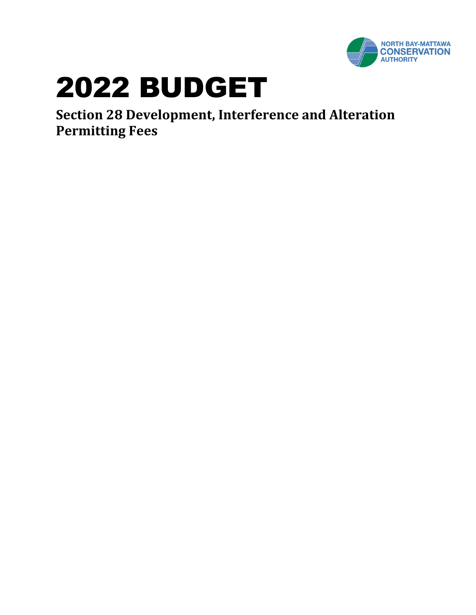

**Section 28 Development, Interference and Alteration Permitting Fees**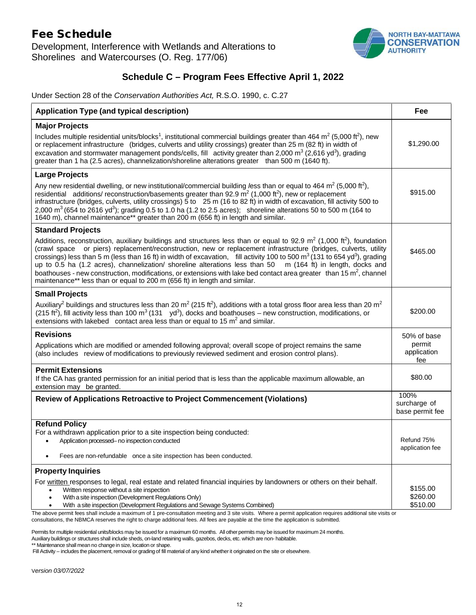## Fee Schedule

Development, Interference with Wetlands and Alterations to Shorelines and Watercourses (O. Reg. 177/06)



## **Schedule C – Program Fees Effective April 1, 2022**

Under Section 28 of the *Conservation Authorities Act,* R.S.O. 1990, c. C.27

| <b>Application Type (and typical description)</b>                                                                                                                                                                                                                                                                                                                                                                                                                                                                                                                                                                                                                                                                                                 | Fee                                     |
|---------------------------------------------------------------------------------------------------------------------------------------------------------------------------------------------------------------------------------------------------------------------------------------------------------------------------------------------------------------------------------------------------------------------------------------------------------------------------------------------------------------------------------------------------------------------------------------------------------------------------------------------------------------------------------------------------------------------------------------------------|-----------------------------------------|
| <b>Major Projects</b>                                                                                                                                                                                                                                                                                                                                                                                                                                                                                                                                                                                                                                                                                                                             |                                         |
| Includes multiple residential units/blocks <sup>1</sup> , institutional commercial buildings greater than 464 m <sup>2</sup> (5,000 ft <sup>2</sup> ), new<br>or replacement infrastructure (bridges, culverts and utility crossings) greater than 25 m (82 ft) in width of<br>excavation and stormwater management ponds/cells, fill activity greater than 2,000 $m^3$ (2,616 yd <sup>3</sup> ), grading<br>greater than 1 ha (2.5 acres), channelization/shoreline alterations greater than 500 m (1640 ft).                                                                                                                                                                                                                                    | \$1,290.00                              |
| <b>Large Projects</b>                                                                                                                                                                                                                                                                                                                                                                                                                                                                                                                                                                                                                                                                                                                             |                                         |
| Any new residential dwelling, or new institutional/commercial building less than or equal to 464 m <sup>2</sup> (5,000 ft <sup>2</sup> ),<br>residential additions/ reconstruction/basements greater than 92.9 $m^2$ (1,000 ft <sup>2</sup> ), new or replacement<br>infrastructure (bridges, culverts, utility crossings) 5 to 25 m (16 to 82 ft) in width of excavation, fill activity 500 to<br>2,000 m <sup>3</sup> (654 to 2616 yd <sup>3</sup> ); grading 0.5 to 1.0 ha (1.2 to 2.5 acres); shoreline alterations 50 to 500 m (164 to<br>1640 m), channel maintenance** greater than 200 m (656 ft) in length and similar.                                                                                                                  | \$915.00                                |
| <b>Standard Projects</b>                                                                                                                                                                                                                                                                                                                                                                                                                                                                                                                                                                                                                                                                                                                          |                                         |
| Additions, reconstruction, auxiliary buildings and structures less than or equal to 92.9 $m^2$ (1,000 ft <sup>2</sup> ), foundation<br>(crawl space or piers) replacement/reconstruction, new or replacement infrastructure (bridges, culverts, utility<br>crossings) less than 5 m (less than 16 ft) in width of excavation, fill activity 100 to 500 m <sup>3</sup> (131 to 654 yd <sup>3</sup> ), grading<br>up to 0.5 ha (1.2 acres), channelization/ shoreline alterations less than 50 $\,$ m (164 ft) in length, docks and<br>boathouses - new construction, modifications, or extensions with lake bed contact area greater than 15 m <sup>2</sup> , channel<br>maintenance** less than or equal to 200 m (656 ft) in length and similar. | \$465.00                                |
| <b>Small Projects</b>                                                                                                                                                                                                                                                                                                                                                                                                                                                                                                                                                                                                                                                                                                                             |                                         |
| Auxiliary <sup>2</sup> buildings and structures less than 20 m <sup>2</sup> (215 ft <sup>2</sup> ), additions with a total gross floor area less than 20 m <sup>2</sup><br>(215 ft <sup>2</sup> ), fill activity less than 100 m <sup>3</sup> (131 yd <sup>3</sup> ), docks and boathouses – new construction, modifications, or<br>extensions with lakebed contact area less than or equal to 15 $m2$ and similar.                                                                                                                                                                                                                                                                                                                               | \$200.00                                |
| <b>Revisions</b>                                                                                                                                                                                                                                                                                                                                                                                                                                                                                                                                                                                                                                                                                                                                  | 50% of base                             |
| Applications which are modified or amended following approval; overall scope of project remains the same<br>(also includes review of modifications to previously reviewed sediment and erosion control plans).                                                                                                                                                                                                                                                                                                                                                                                                                                                                                                                                    | permit<br>application<br>fee            |
| <b>Permit Extensions</b><br>If the CA has granted permission for an initial period that is less than the applicable maximum allowable, an<br>extension may be granted.                                                                                                                                                                                                                                                                                                                                                                                                                                                                                                                                                                            | \$80.00                                 |
| Review of Applications Retroactive to Project Commencement (Violations)                                                                                                                                                                                                                                                                                                                                                                                                                                                                                                                                                                                                                                                                           | 100%<br>surcharge of<br>base permit fee |
| <b>Refund Policy</b>                                                                                                                                                                                                                                                                                                                                                                                                                                                                                                                                                                                                                                                                                                                              |                                         |
| For a withdrawn application prior to a site inspection being conducted:<br>Application processed- no inspection conducted                                                                                                                                                                                                                                                                                                                                                                                                                                                                                                                                                                                                                         | Refund 75%<br>application fee           |
| Fees are non-refundable once a site inspection has been conducted.                                                                                                                                                                                                                                                                                                                                                                                                                                                                                                                                                                                                                                                                                |                                         |
| <b>Property Inquiries</b>                                                                                                                                                                                                                                                                                                                                                                                                                                                                                                                                                                                                                                                                                                                         |                                         |
| For written responses to legal, real estate and related financial inquiries by landowners or others on their behalf.                                                                                                                                                                                                                                                                                                                                                                                                                                                                                                                                                                                                                              |                                         |
| Written response without a site inspection<br>$\bullet$<br>With a site inspection (Development Regulations Only)                                                                                                                                                                                                                                                                                                                                                                                                                                                                                                                                                                                                                                  | \$155.00<br>\$260.00                    |
| With a site inspection (Development Regulations and Sewage Systems Combined)<br>$\bullet$<br>aboll include a maximum of 4 nrs consultation meeting and 3 eite                                                                                                                                                                                                                                                                                                                                                                                                                                                                                                                                                                                     | \$510.00                                |

 The above permit fees shall include a maximum of 1 pre-consultation meeting and 3 site visits. Where a permit application requires additional site visits or consultations, the NBMCA reserves the right to charge additional fees. All fees are payable at the time the application is submitted.

Permits for multiple residential units/blocks may be issued for a maximum 60 months. All other permits may be issued for maximum 24 months.

Auxiliary buildings or structures shall include sheds, on-land retaining walls, gazebos, decks, etc. which are non- habitable.

\*\* Maintenance shall mean no change in size, location or shape.

Fill Activity – includes the placement, removal or grading of fill material of any kind whetherit originated on the site or elsewhere.

V*ersion 03/07/2022*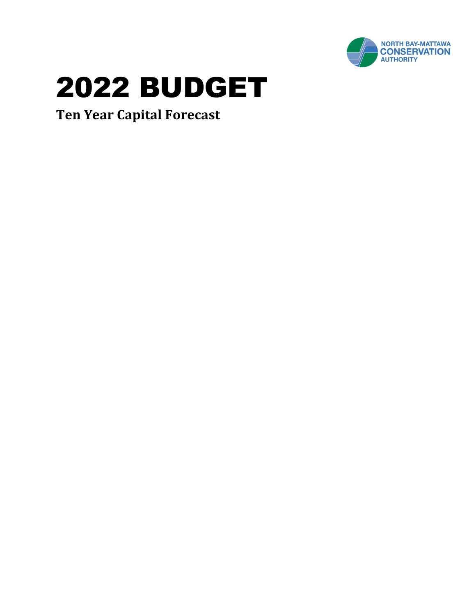

**Ten Year Capital Forecast**